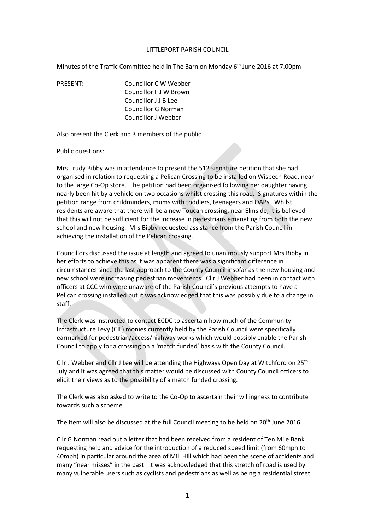#### LITTLEPORT PARISH COUNCIL

Minutes of the Traffic Committee held in The Barn on Monday 6<sup>th</sup> June 2016 at 7.00pm

PRESENT: Councillor C W Webber Councillor F J W Brown Councillor J J B Lee Councillor G Norman Councillor J Webber

Also present the Clerk and 3 members of the public.

#### Public questions:

Mrs Trudy Bibby was in attendance to present the 512 signature petition that she had organised in relation to requesting a Pelican Crossing to be installed on Wisbech Road, near to the large Co-Op store. The petition had been organised following her daughter having nearly been hit by a vehicle on two occasions whilst crossing this road. Signatures within the petition range from childminders, mums with toddlers, teenagers and OAPs. Whilst residents are aware that there will be a new Toucan crossing, near Elmside, it is believed that this will not be sufficient for the increase in pedestrians emanating from both the new school and new housing. Mrs Bibby requested assistance from the Parish Council in achieving the installation of the Pelican crossing.

Councillors discussed the issue at length and agreed to unanimously support Mrs Bibby in her efforts to achieve this as it was apparent there was a significant difference in circumstances since the last approach to the County Council insofar as the new housing and new school were increasing pedestrian movements. Cllr J Webber had been in contact with officers at CCC who were unaware of the Parish Council's previous attempts to have a Pelican crossing installed but it was acknowledged that this was possibly due to a change in staff.

The Clerk was instructed to contact ECDC to ascertain how much of the Community Infrastructure Levy (CIL) monies currently held by the Parish Council were specifically earmarked for pedestrian/access/highway works which would possibly enable the Parish Council to apply for a crossing on a 'match funded' basis with the County Council.

Cllr J Webber and Cllr J Lee will be attending the Highways Open Day at Witchford on 25th July and it was agreed that this matter would be discussed with County Council officers to elicit their views as to the possibility of a match funded crossing.

The Clerk was also asked to write to the Co-Op to ascertain their willingness to contribute towards such a scheme.

The item will also be discussed at the full Council meeting to be held on 20<sup>th</sup> June 2016.

Cllr G Norman read out a letter that had been received from a resident of Ten Mile Bank requesting help and advice for the introduction of a reduced speed limit (from 60mph to 40mph) in particular around the area of Mill Hill which had been the scene of accidents and many "near misses" in the past. It was acknowledged that this stretch of road is used by many vulnerable users such as cyclists and pedestrians as well as being a residential street.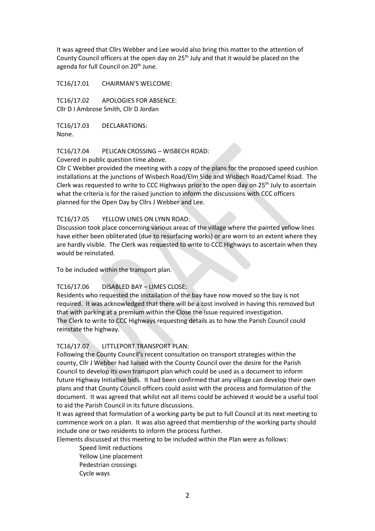It was agreed that Cllrs Webber and Lee would also bring this matter to the attention of County Council officers at the open day on 25<sup>th</sup> July and that it would be placed on the agenda for full Council on 20<sup>th</sup> June.

TC16/17.01 CHAIRMAN'S WELCOME:

TC16/17.02 APOLOGIES FOR ABSENCE: Cllr D I Ambrose Smith, Cllr D Jordan

TC16/17.03 DECLARATIONS: None.

## TC16/17.04 PELICAN CROSSING – WISBECH ROAD:

Covered in public question time above.

Cllr C Webber provided the meeting with a copy of the plans for the proposed speed cushion installations at the junctions of Wisbech Road/Elm Side and Wisbech Road/Camel Road. The Clerk was requested to write to CCC Highways prior to the open day on  $25<sup>th</sup>$  July to ascertain what the criteria is for the raised junction to inform the discussions with CCC officers planned for the Open Day by Cllrs J Webber and Lee.

## TC16/17.05 YELLOW LINES ON LYNN ROAD:

Discussion took place concerning various areas of the village where the painted yellow lines have either been obliterated (due to resurfacing works) or are worn to an extent where they are hardly visible. The Clerk was requested to write to CCC Highways to ascertain when they would be reinstated.

To be included within the transport plan.

# TC16/17.06 DISABLED BAY – LIMES CLOSE:

Residents who requested the installation of the bay have now moved so the bay is not required. It was acknowledged that there will be a cost involved in having this removed but that with parking at a premium within the Close the issue required investigation. The Clerk to write to CCC Highways requesting details as to how the Parish Council could reinstate the highway.

# TC16/17.07 LITTLEPORT TRANSPORT PLAN:

Following the County Council's recent consultation on transport strategies within the county, Cllr J Webber had liaised with the County Council over the desire for the Parish Council to develop its own transport plan which could be used as a document to inform future Highway Initiative bids. It had been confirmed that any village can develop their own plans and that County Council officers could assist with the process and formulation of the document. It was agreed that whilst not all items could be achieved it would be a useful tool to aid the Parish Council in its future discussions.

It was agreed that formulation of a working party be put to full Council at its next meeting to commence work on a plan. It was also agreed that membership of the working party should include one or two residents to inform the process further.

Elements discussed at this meeting to be included within the Plan were as follows:

Speed limit reductions Yellow Line placement Pedestrian crossings Cycle ways